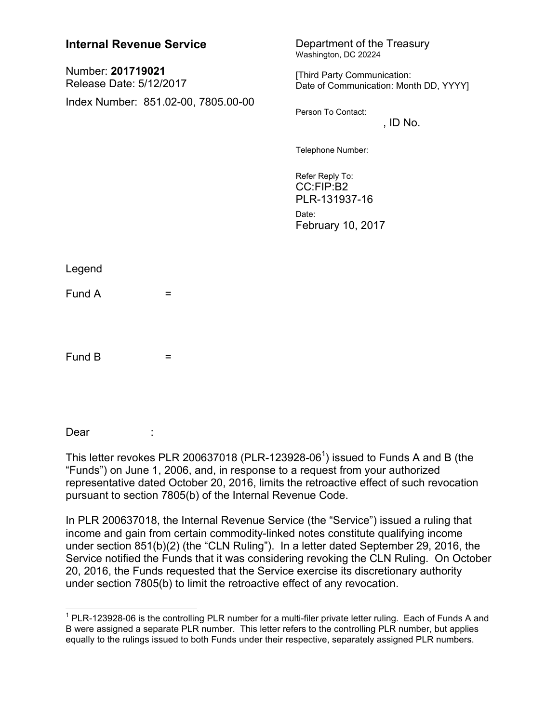| <b>Internal Revenue Service</b>              | Department of the Treasury<br>Washington, DC 20224                          |
|----------------------------------------------|-----------------------------------------------------------------------------|
| Number: 201719021<br>Release Date: 5/12/2017 | [Third Party Communication:<br>Date of Communication: Month DD, YYYY]       |
| Index Number: 851.02-00, 7805.00-00          | Person To Contact:<br>, ID No.                                              |
|                                              | Telephone Number:                                                           |
|                                              | Refer Reply To:<br>CC:FIP:B2<br>PLR-131937-16<br>Date:<br>February 10, 2017 |
| Legend                                       |                                                                             |
| Fund A<br>$=$                                |                                                                             |
| Fund B<br>=                                  |                                                                             |

## Dear

This letter revokes PLR 200637018 (PLR-123928-06<sup>1</sup>) issued to Funds A and B (the "Funds") on June 1, 2006, and, in response to a request from your authorized representative dated October 20, 2016, limits the retroactive effect of such revocation pursuant to section 7805(b) of the Internal Revenue Code.

In PLR 200637018, the Internal Revenue Service (the "Service") issued a ruling that income and gain from certain commodity-linked notes constitute qualifying income under section 851(b)(2) (the "CLN Ruling"). In a letter dated September 29, 2016, the Service notified the Funds that it was considering revoking the CLN Ruling. On October 20, 2016, the Funds requested that the Service exercise its discretionary authority under section 7805(b) to limit the retroactive effect of any revocation.

 1 PLR-123928-06 is the controlling PLR number for a multi-filer private letter ruling. Each of Funds A and B were assigned a separate PLR number. This letter refers to the controlling PLR number, but applies equally to the rulings issued to both Funds under their respective, separately assigned PLR numbers.